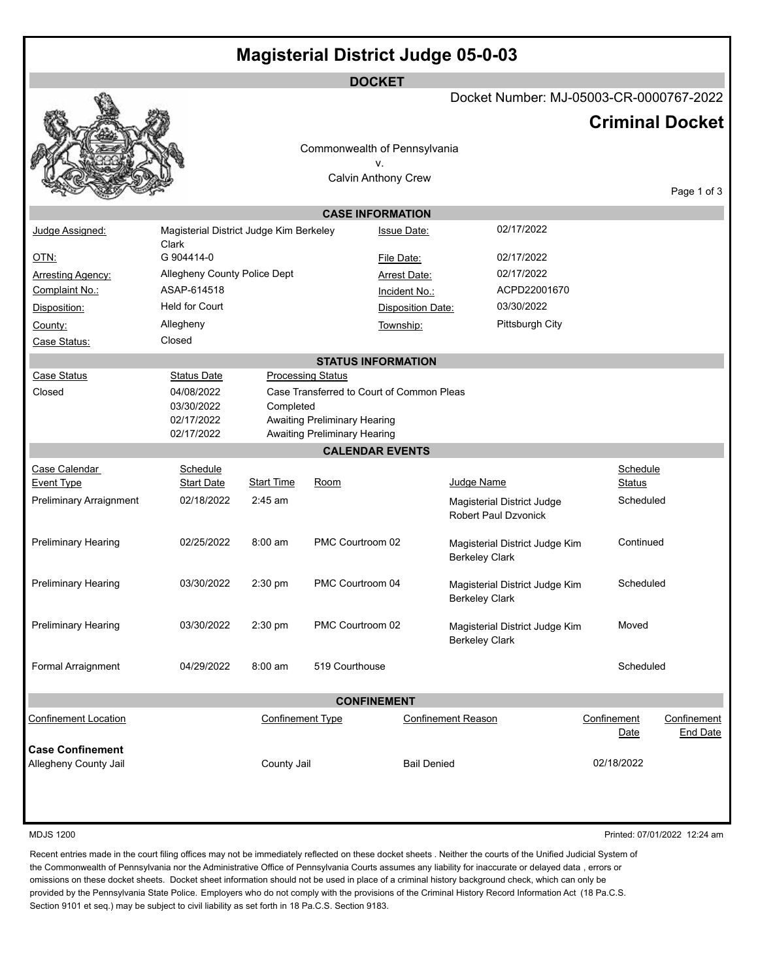|                                |                                                  |                         | <b>DOCKET</b>                             |                          |                                                         |               |                                |
|--------------------------------|--------------------------------------------------|-------------------------|-------------------------------------------|--------------------------|---------------------------------------------------------|---------------|--------------------------------|
|                                |                                                  |                         |                                           |                          | Docket Number: MJ-05003-CR-0000767-2022                 |               |                                |
|                                |                                                  |                         |                                           |                          |                                                         |               | <b>Criminal Docket</b>         |
|                                |                                                  |                         | Commonwealth of Pennsylvania              |                          |                                                         |               |                                |
|                                |                                                  |                         | ν.                                        |                          |                                                         |               |                                |
|                                |                                                  |                         | <b>Calvin Anthony Crew</b>                |                          |                                                         |               |                                |
|                                |                                                  |                         |                                           |                          |                                                         |               | Page 1 of 3                    |
|                                |                                                  |                         | <b>CASE INFORMATION</b>                   |                          |                                                         |               |                                |
| Judge Assigned:                | Magisterial District Judge Kim Berkeley<br>Clark |                         |                                           | <b>Issue Date:</b>       | 02/17/2022                                              |               |                                |
| <u>OTN:</u>                    | G 904414-0                                       |                         |                                           | File Date:               | 02/17/2022                                              |               |                                |
| <b>Arresting Agency:</b>       | Allegheny County Police Dept                     |                         |                                           | <b>Arrest Date:</b>      | 02/17/2022                                              |               |                                |
| Complaint No.:                 | ASAP-614518                                      |                         |                                           | Incident No.:            | ACPD22001670                                            |               |                                |
| Disposition:                   | <b>Held for Court</b>                            |                         |                                           | <b>Disposition Date:</b> | 03/30/2022                                              |               |                                |
| County:                        | Allegheny                                        |                         |                                           | Township:                | Pittsburgh City                                         |               |                                |
| Case Status:                   | Closed                                           |                         |                                           |                          |                                                         |               |                                |
|                                |                                                  |                         | <b>STATUS INFORMATION</b>                 |                          |                                                         |               |                                |
| <b>Case Status</b>             | <b>Status Date</b>                               |                         | <b>Processing Status</b>                  |                          |                                                         |               |                                |
| Closed                         | 04/08/2022<br>03/30/2022                         | Completed               | Case Transferred to Court of Common Pleas |                          |                                                         |               |                                |
|                                | 02/17/2022                                       |                         | <b>Awaiting Preliminary Hearing</b>       |                          |                                                         |               |                                |
|                                | 02/17/2022                                       |                         | <b>Awaiting Preliminary Hearing</b>       |                          |                                                         |               |                                |
|                                |                                                  |                         | <b>CALENDAR EVENTS</b>                    |                          |                                                         |               |                                |
| Case Calendar                  | Schedule                                         |                         |                                           |                          |                                                         | Schedule      |                                |
| <b>Event Type</b>              | <b>Start Date</b>                                | <b>Start Time</b>       | Room                                      |                          | Judge Name                                              | <b>Status</b> |                                |
| <b>Preliminary Arraignment</b> | 02/18/2022                                       | $2:45$ am               |                                           |                          | Magisterial District Judge<br>Robert Paul Dzvonick      | Scheduled     |                                |
|                                |                                                  |                         |                                           |                          |                                                         |               |                                |
| <b>Preliminary Hearing</b>     | 02/25/2022                                       | $8:00 \text{ am}$       | PMC Courtroom 02                          |                          | Magisterial District Judge Kim                          | Continued     |                                |
|                                |                                                  |                         |                                           |                          | <b>Berkeley Clark</b>                                   |               |                                |
| <b>Preliminary Hearing</b>     | 03/30/2022                                       | 2:30 pm                 | PMC Courtroom 04                          |                          | Magisterial District Judge Kim                          | Scheduled     |                                |
|                                |                                                  |                         |                                           |                          | <b>Berkeley Clark</b>                                   |               |                                |
|                                | 03/30/2022                                       | 2:30 pm                 | PMC Courtroom 02                          |                          |                                                         | Moved         |                                |
| Preliminary Hearing            |                                                  |                         |                                           |                          | Magisterial District Judge Kim<br><b>Berkeley Clark</b> |               |                                |
|                                |                                                  |                         |                                           |                          |                                                         |               |                                |
| Formal Arraignment             | 04/29/2022                                       | $8:00$ am               | 519 Courthouse                            |                          |                                                         | Scheduled     |                                |
|                                |                                                  |                         |                                           |                          |                                                         |               |                                |
|                                |                                                  |                         | <b>CONFINEMENT</b>                        |                          |                                                         | Confinement   |                                |
| <b>Confinement Location</b>    |                                                  | <b>Confinement Type</b> |                                           |                          | <b>Confinement Reason</b>                               | Date          | Confinement<br><b>End Date</b> |
| <b>Case Confinement</b>        |                                                  |                         |                                           |                          |                                                         |               |                                |
| Allegheny County Jail          |                                                  | County Jail             |                                           | <b>Bail Denied</b>       |                                                         | 02/18/2022    |                                |
|                                |                                                  |                         |                                           |                          |                                                         |               |                                |
|                                |                                                  |                         |                                           |                          |                                                         |               |                                |
|                                |                                                  |                         |                                           |                          |                                                         |               |                                |

MDJS 1200 Printed: 07/01/2022 12:24 am

Recent entries made in the court filing offices may not be immediately reflected on these docket sheets . Neither the courts of the Unified Judicial System of the Commonwealth of Pennsylvania nor the Administrative Office of Pennsylvania Courts assumes any liability for inaccurate or delayed data , errors or omissions on these docket sheets. Docket sheet information should not be used in place of a criminal history background check, which can only be provided by the Pennsylvania State Police. Employers who do not comply with the provisions of the Criminal History Record Information Act (18 Pa.C.S. Section 9101 et seq.) may be subject to civil liability as set forth in 18 Pa.C.S. Section 9183.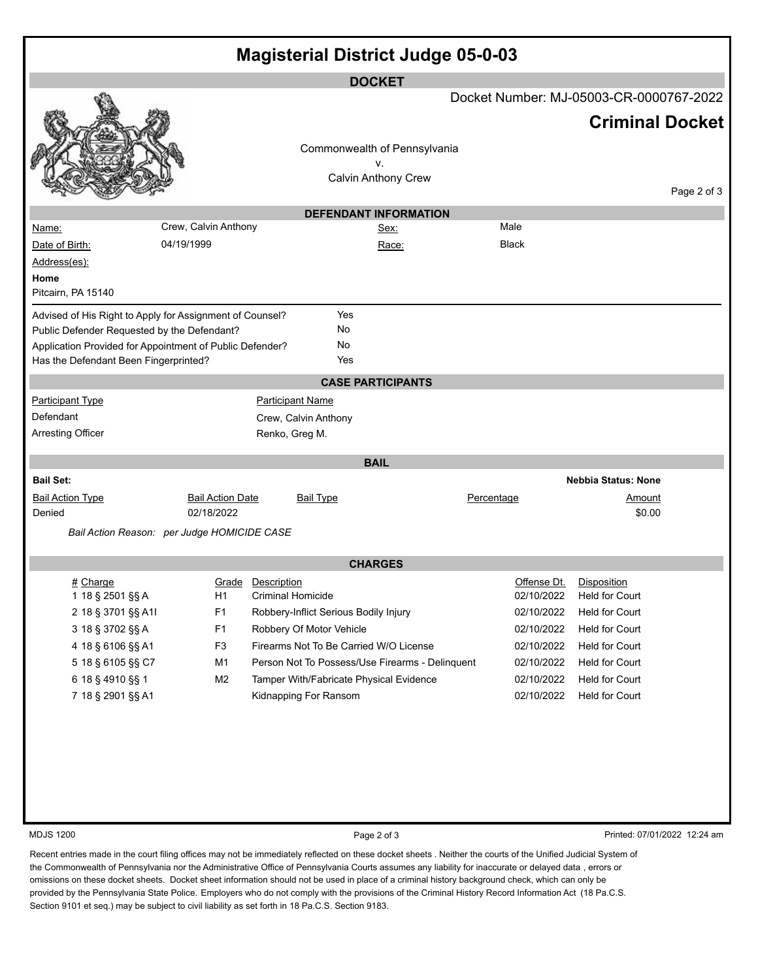| <b>Magisterial District Judge 05-0-03</b>                                                               |                         |                          |                                                 |                                  |            |              |                                         |             |
|---------------------------------------------------------------------------------------------------------|-------------------------|--------------------------|-------------------------------------------------|----------------------------------|------------|--------------|-----------------------------------------|-------------|
|                                                                                                         |                         |                          |                                                 | <b>DOCKET</b>                    |            |              | Docket Number: MJ-05003-CR-0000767-2022 |             |
|                                                                                                         |                         |                          |                                                 |                                  |            |              | <b>Criminal Docket</b>                  |             |
|                                                                                                         |                         |                          | Commonwealth of Pennsylvania                    |                                  |            |              |                                         |             |
|                                                                                                         |                         |                          |                                                 | v.<br><b>Calvin Anthony Crew</b> |            |              |                                         |             |
|                                                                                                         |                         |                          |                                                 |                                  |            |              |                                         | Page 2 of 3 |
|                                                                                                         |                         |                          |                                                 | <b>DEFENDANT INFORMATION</b>     |            |              |                                         |             |
| <u>Name:</u>                                                                                            | Crew, Calvin Anthony    |                          |                                                 | Sex:                             |            | Male         |                                         |             |
| Date of Birth:                                                                                          | 04/19/1999              |                          |                                                 | Race:                            |            | <b>Black</b> |                                         |             |
| Address(es):                                                                                            |                         |                          |                                                 |                                  |            |              |                                         |             |
| Home<br>Pitcairn, PA 15140                                                                              |                         |                          |                                                 |                                  |            |              |                                         |             |
|                                                                                                         |                         |                          |                                                 |                                  |            |              |                                         |             |
| Advised of His Right to Apply for Assignment of Counsel?<br>Public Defender Requested by the Defendant? |                         |                          | Yes<br>No                                       |                                  |            |              |                                         |             |
| Application Provided for Appointment of Public Defender?                                                |                         |                          | No                                              |                                  |            |              |                                         |             |
| Has the Defendant Been Fingerprinted?                                                                   |                         |                          | Yes                                             |                                  |            |              |                                         |             |
|                                                                                                         |                         |                          |                                                 | <b>CASE PARTICIPANTS</b>         |            |              |                                         |             |
| <b>Participant Type</b>                                                                                 |                         |                          | <b>Participant Name</b>                         |                                  |            |              |                                         |             |
| Defendant                                                                                               |                         |                          | Crew, Calvin Anthony                            |                                  |            |              |                                         |             |
| <b>Arresting Officer</b>                                                                                |                         | Renko, Greg M.           |                                                 |                                  |            |              |                                         |             |
|                                                                                                         |                         |                          |                                                 | <b>BAIL</b>                      |            |              |                                         |             |
| <b>Bail Set:</b>                                                                                        |                         |                          |                                                 |                                  |            |              | <b>Nebbia Status: None</b>              |             |
| <b>Bail Action Type</b>                                                                                 | <b>Bail Action Date</b> |                          | <b>Bail Type</b>                                |                                  | Percentage |              | Amount                                  |             |
| Denied                                                                                                  | 02/18/2022              |                          |                                                 |                                  |            |              | \$0.00                                  |             |
| Bail Action Reason: per Judge HOMICIDE CASE                                                             |                         |                          |                                                 |                                  |            |              |                                         |             |
|                                                                                                         |                         |                          |                                                 | <b>CHARGES</b>                   |            |              |                                         |             |
| # Charge                                                                                                |                         | Grade Description        |                                                 |                                  |            | Offense Dt.  | Disposition                             |             |
| 1 18 § 2501 §§ A                                                                                        | H1                      | <b>Criminal Homicide</b> |                                                 |                                  |            |              | 02/10/2022 Held for Court               |             |
| 2 18 § 3701 §§ A1I                                                                                      | F <sub>1</sub>          |                          | Robbery-Inflict Serious Bodily Injury           |                                  |            | 02/10/2022   | Held for Court                          |             |
| 3 18 § 3702 §§ A                                                                                        | F <sub>1</sub>          |                          | Robbery Of Motor Vehicle                        |                                  |            | 02/10/2022   | Held for Court                          |             |
| 4 18 § 6106 §§ A1                                                                                       | F <sub>3</sub>          |                          | Firearms Not To Be Carried W/O License          |                                  |            | 02/10/2022   | <b>Held for Court</b>                   |             |
| 5 18 § 6105 §§ C7                                                                                       | M1                      |                          | Person Not To Possess/Use Firearms - Delinquent |                                  |            | 02/10/2022   | Held for Court                          |             |
| 6 18 § 4910 §§ 1                                                                                        | M <sub>2</sub>          |                          | Tamper With/Fabricate Physical Evidence         |                                  |            | 02/10/2022   | Held for Court                          |             |
| 7 18 § 2901 §§ A1                                                                                       |                         |                          | Kidnapping For Ransom                           |                                  |            | 02/10/2022   | Held for Court                          |             |
|                                                                                                         |                         |                          |                                                 |                                  |            |              |                                         |             |
|                                                                                                         |                         |                          |                                                 |                                  |            |              |                                         |             |
|                                                                                                         |                         |                          |                                                 |                                  |            |              |                                         |             |
|                                                                                                         |                         |                          |                                                 |                                  |            |              |                                         |             |
|                                                                                                         |                         |                          |                                                 |                                  |            |              |                                         |             |
|                                                                                                         |                         |                          |                                                 |                                  |            |              |                                         |             |
| <b>MDJS 1200</b>                                                                                        |                         |                          |                                                 | Page 2 of 3                      |            |              | Printed: 07/01/2022 12:24 am            |             |

Recent entries made in the court filing offices may not be immediately reflected on these docket sheets . Neither the courts of the Unified Judicial System of the Commonwealth of Pennsylvania nor the Administrative Office of Pennsylvania Courts assumes any liability for inaccurate or delayed data , errors or omissions on these docket sheets. Docket sheet information should not be used in place of a criminal history background check, which can only be provided by the Pennsylvania State Police. Employers who do not comply with the provisions of the Criminal History Record Information Act (18 Pa.C.S. Section 9101 et seq.) may be subject to civil liability as set forth in 18 Pa.C.S. Section 9183.